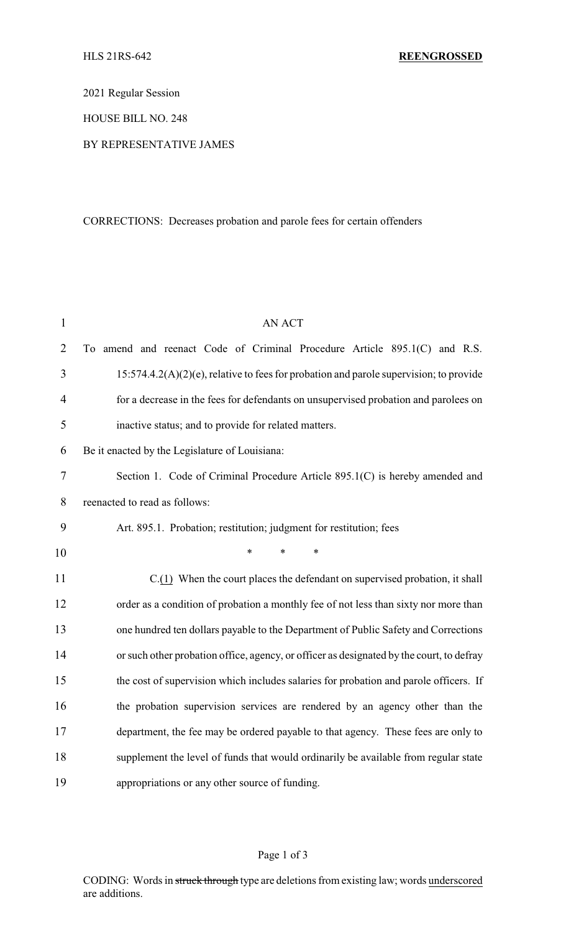2021 Regular Session

HOUSE BILL NO. 248

## BY REPRESENTATIVE JAMES

## CORRECTIONS: Decreases probation and parole fees for certain offenders

| $\mathbf{1}$   | <b>AN ACT</b>                                                                             |  |  |
|----------------|-------------------------------------------------------------------------------------------|--|--|
| $\overline{2}$ | To amend and reenact Code of Criminal Procedure Article 895.1(C) and R.S.                 |  |  |
| 3              | $15:574.4.2(A)(2)(e)$ , relative to fees for probation and parole supervision; to provide |  |  |
| $\overline{4}$ | for a decrease in the fees for defendants on unsupervised probation and parolees on       |  |  |
| 5              | inactive status; and to provide for related matters.                                      |  |  |
| 6              | Be it enacted by the Legislature of Louisiana:                                            |  |  |
| $\tau$         | Section 1. Code of Criminal Procedure Article 895.1(C) is hereby amended and              |  |  |
| 8              | reenacted to read as follows:                                                             |  |  |
| 9              | Art. 895.1. Probation; restitution; judgment for restitution; fees                        |  |  |
| 10             | $\ast$<br>*                                                                               |  |  |
| 11             | C.(1) When the court places the defendant on supervised probation, it shall               |  |  |
| 12             | order as a condition of probation a monthly fee of not less than sixty nor more than      |  |  |
| 13             | one hundred ten dollars payable to the Department of Public Safety and Corrections        |  |  |
| 14             | or such other probation office, agency, or officer as designated by the court, to defray  |  |  |
| 15             | the cost of supervision which includes salaries for probation and parole officers. If     |  |  |
| 16             | the probation supervision services are rendered by an agency other than the               |  |  |
| 17             | department, the fee may be ordered payable to that agency. These fees are only to         |  |  |
| 18             | supplement the level of funds that would ordinarily be available from regular state       |  |  |
| 19             | appropriations or any other source of funding.                                            |  |  |

## Page 1 of 3

CODING: Words in struck through type are deletions from existing law; words underscored are additions.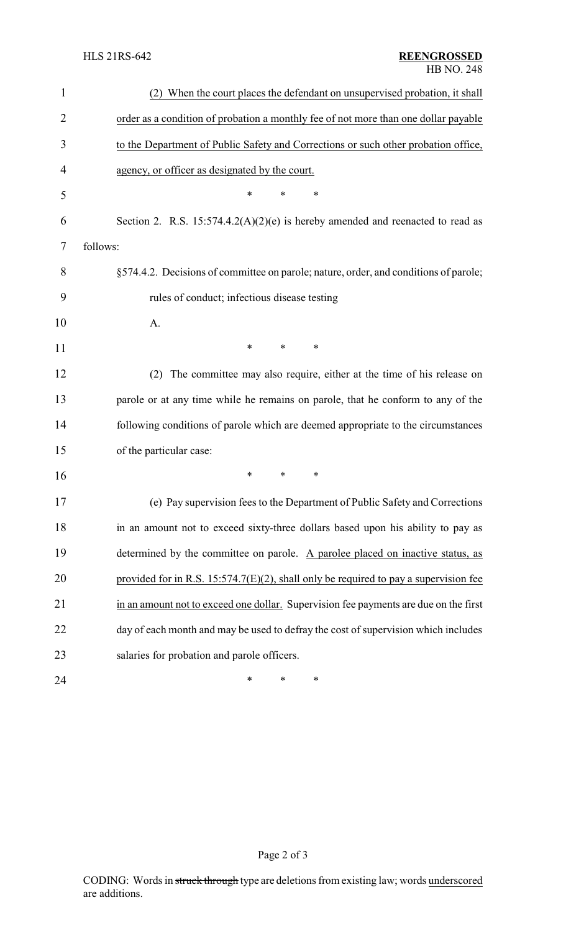| 1  | (2) When the court places the defendant on unsupervised probation, it shall             |
|----|-----------------------------------------------------------------------------------------|
| 2  | order as a condition of probation a monthly fee of not more than one dollar payable     |
| 3  | to the Department of Public Safety and Corrections or such other probation office,      |
| 4  | agency, or officer as designated by the court.                                          |
| 5  | $\ast$<br>$\ast$<br>*                                                                   |
| 6  | Section 2. R.S. $15:574.4.2(A)(2)(e)$ is hereby amended and reenacted to read as        |
| 7  | follows:                                                                                |
| 8  | §574.4.2. Decisions of committee on parole; nature, order, and conditions of parole;    |
| 9  | rules of conduct; infectious disease testing                                            |
| 10 | A.                                                                                      |
| 11 | *<br>*<br>$\ast$                                                                        |
| 12 | The committee may also require, either at the time of his release on<br>(2)             |
| 13 | parole or at any time while he remains on parole, that he conform to any of the         |
| 14 | following conditions of parole which are deemed appropriate to the circumstances        |
| 15 | of the particular case:                                                                 |
| 16 | $\ast$<br>*<br>*                                                                        |
| 17 | (e) Pay supervision fees to the Department of Public Safety and Corrections             |
| 18 | in an amount not to exceed sixty-three dollars based upon his ability to pay as         |
| 19 | determined by the committee on parole. A parolee placed on inactive status, as          |
| 20 | provided for in R.S. $15:574.7(E)(2)$ , shall only be required to pay a supervision fee |
| 21 | in an amount not to exceed one dollar. Supervision fee payments are due on the first    |
| 22 | day of each month and may be used to defray the cost of supervision which includes      |
| 23 | salaries for probation and parole officers.                                             |
| 24 | ∗<br>*<br>∗                                                                             |